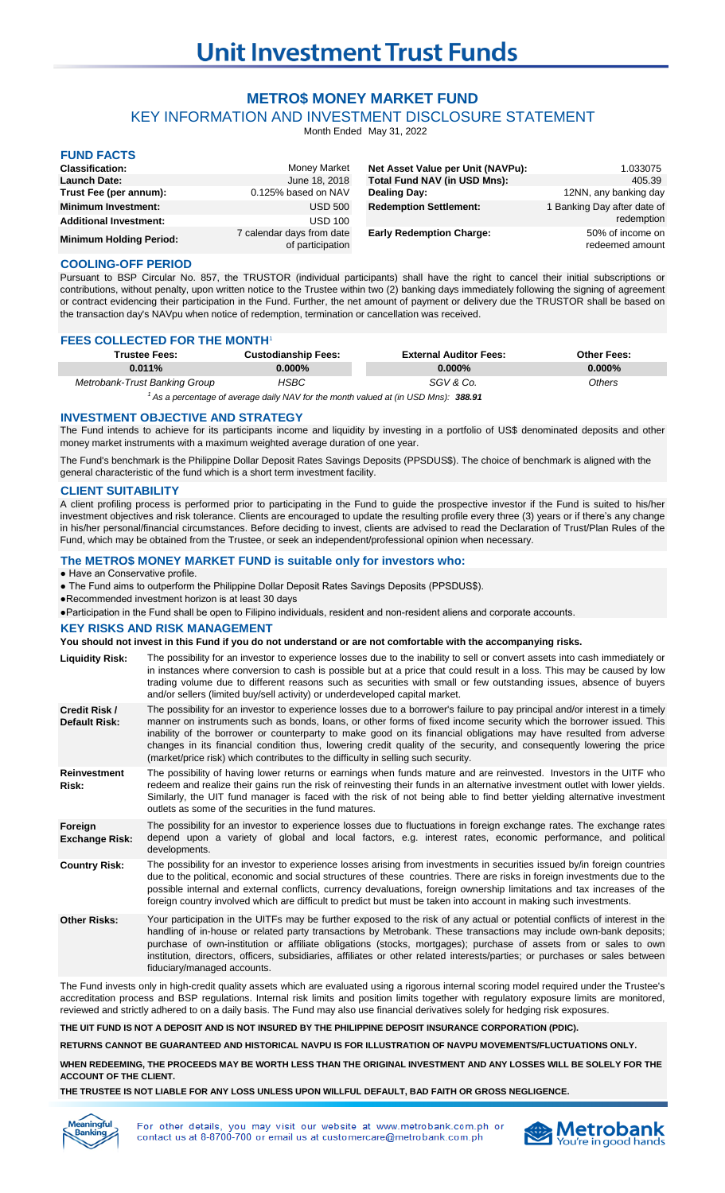# **METRO\$ MONEY MARKET FUND**

KEY INFORMATION AND INVESTMENT DISCLOSURE STATEMENT

Month Ended May 31, 2022

| <b>FUND FACTS</b>              |                                               |                                     |                                     |
|--------------------------------|-----------------------------------------------|-------------------------------------|-------------------------------------|
| <b>Classification:</b>         | <b>Money Market</b>                           | Net Asset Value per Unit (NAVPu):   | 1.033075                            |
| <b>Launch Date:</b>            | June 18, 2018                                 | <b>Total Fund NAV (in USD Mns):</b> | 405.39                              |
| Trust Fee (per annum):         | 0.125% based on NAV                           | Dealing Day:                        | 12NN, any banking day               |
| <b>Minimum Investment:</b>     | <b>USD 500</b>                                | <b>Redemption Settlement:</b>       | I Banking Day after date of         |
| <b>Additional Investment:</b>  | <b>USD 100</b>                                |                                     | redemption                          |
| <b>Minimum Holding Period:</b> | 7 calendar days from date<br>of participation | <b>Early Redemption Charge:</b>     | 50% of income on<br>redeemed amount |

## **COOLING-OFF PERIOD**

Pursuant to BSP Circular No. 857, the TRUSTOR (individual participants) shall have the right to cancel their initial subscriptions or contributions, without penalty, upon written notice to the Trustee within two (2) banking days immediately following the signing of agreement or contract evidencing their participation in the Fund. Further, the net amount of payment or delivery due the TRUSTOR shall be based on the transaction day's NAVpu when notice of redemption, termination or cancellation was received.

## **FEES COLLECTED FOR THE MONTH<sup>1</sup>**

| <b>Trustee Fees:</b>                                                                           | <b>Custodianship Fees:</b> | <b>External Auditor Fees:</b> | <b>Other Fees:</b> |  |
|------------------------------------------------------------------------------------------------|----------------------------|-------------------------------|--------------------|--|
| 0.011%                                                                                         | $0.000\%$                  | $0.000\%$                     | $0.000\%$          |  |
| Metrobank-Trust Banking Group                                                                  | HSBC                       | SGV & Co.                     | Others             |  |
| <sup>1</sup> As a percentage of average daily NAV for the month valued at (in USD Mns): 388.91 |                            |                               |                    |  |

**INVESTMENT OBJECTIVE AND STRATEGY**

The Fund intends to achieve for its participants income and liquidity by investing in a portfolio of US\$ denominated deposits and other money market instruments with a maximum weighted average duration of one year.

The Fund's benchmark is the Philippine Dollar Deposit Rates Savings Deposits (PPSDUS\$). The choice of benchmark is aligned with the general characteristic of the fund which is a short term investment facility.

## **CLIENT SUITABILITY**

A client profiling process is performed prior to participating in the Fund to guide the prospective investor if the Fund is suited to his/her investment objectives and risk tolerance. Clients are encouraged to update the resulting profile every three (3) years or if there's any change in his/her personal/financial circumstances. Before deciding to invest, clients are advised to read the Declaration of Trust/Plan Rules of the Fund, which may be obtained from the Trustee, or seek an independent/professional opinion when necessary.

## **The METRO\$ MONEY MARKET FUND is suitable only for investors who:**

● Have an Conservative profile.

- The Fund aims to outperform the Philippine Dollar Deposit Rates Savings Deposits (PPSDUS\$).
- ●Recommended investment horizon is at least 30 days
- ●Participation in the Fund shall be open to Filipino individuals, resident and non-resident aliens and corporate accounts.

## **KEY RISKS AND RISK MANAGEMENT**

### **You should not invest in this Fund if you do not understand or are not comfortable with the accompanying risks.**

- **Liquidity Risk:** The possibility for an investor to experience losses due to the inability to sell or convert assets into cash immediately or in instances where conversion to cash is possible but at a price that could result in a loss. This may be caused by low trading volume due to different reasons such as securities with small or few outstanding issues, absence of buyers and/or sellers (limited buy/sell activity) or underdeveloped capital market.
- **Credit Risk / Default Risk:** The possibility for an investor to experience losses due to a borrower's failure to pay principal and/or interest in a timely manner on instruments such as bonds, loans, or other forms of fixed income security which the borrower issued. This inability of the borrower or counterparty to make good on its financial obligations may have resulted from adverse changes in its financial condition thus, lowering credit quality of the security, and consequently lowering the price (market/price risk) which contributes to the difficulty in selling such security.
- **Reinvestment Risk:** The possibility of having lower returns or earnings when funds mature and are reinvested. Investors in the UITF who redeem and realize their gains run the risk of reinvesting their funds in an alternative investment outlet with lower yields. Similarly, the UIT fund manager is faced with the risk of not being able to find better yielding alternative investment outlets as some of the securities in the fund matures.
- **Foreign Exchange Risk:** The possibility for an investor to experience losses due to fluctuations in foreign exchange rates. The exchange rates depend upon a variety of global and local factors, e.g. interest rates, economic performance, and political developments.
- **Country Risk:** The possibility for an investor to experience losses arising from investments in securities issued by/in foreign countries due to the political, economic and social structures of these countries. There are risks in foreign investments due to the possible internal and external conflicts, currency devaluations, foreign ownership limitations and tax increases of the foreign country involved which are difficult to predict but must be taken into account in making such investments.
- **Other Risks:** Your participation in the UITFs may be further exposed to the risk of any actual or potential conflicts of interest in the handling of in-house or related party transactions by Metrobank. These transactions may include own-bank deposits; purchase of own-institution or affiliate obligations (stocks, mortgages); purchase of assets from or sales to own institution, directors, officers, subsidiaries, affiliates or other related interests/parties; or purchases or sales between fiduciary/managed accounts.

The Fund invests only in high-credit quality assets which are evaluated using a rigorous internal scoring model required under the Trustee's accreditation process and BSP regulations. Internal risk limits and position limits together with regulatory exposure limits are monitored, reviewed and strictly adhered to on a daily basis. The Fund may also use financial derivatives solely for hedging risk exposures.

**THE UIT FUND IS NOT A DEPOSIT AND IS NOT INSURED BY THE PHILIPPINE DEPOSIT INSURANCE CORPORATION (PDIC).**

**RETURNS CANNOT BE GUARANTEED AND HISTORICAL NAVPU IS FOR ILLUSTRATION OF NAVPU MOVEMENTS/FLUCTUATIONS ONLY.**

**WHEN REDEEMING, THE PROCEEDS MAY BE WORTH LESS THAN THE ORIGINAL INVESTMENT AND ANY LOSSES WILL BE SOLELY FOR THE ACCOUNT OF THE CLIENT.**

**THE TRUSTEE IS NOT LIABLE FOR ANY LOSS UNLESS UPON WILLFUL DEFAULT, BAD FAITH OR GROSS NEGLIGENCE.**



For other details. you may visit our website at www.metrobank.com.ph or contact us at 8-8700-700 or email us at customercare@metrobank.com.ph

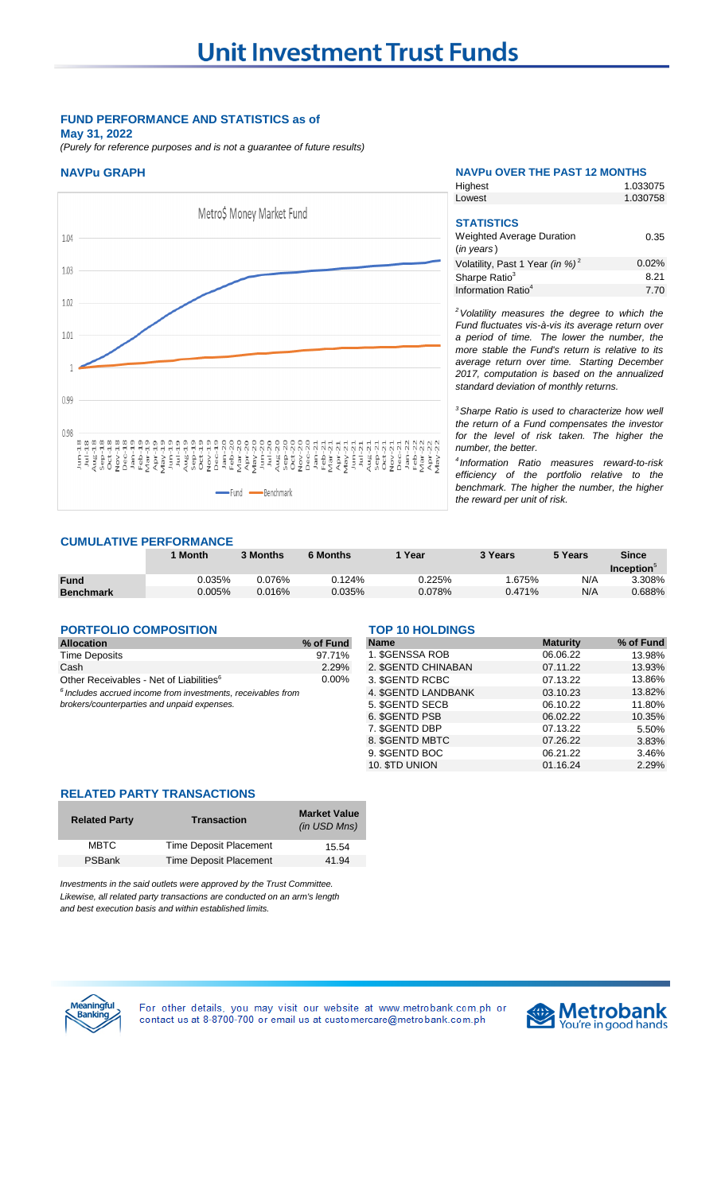# **FUND PERFORMANCE AND STATISTICS as of**

**May 31, 2022**

*(Purely for reference purposes and is not a guarantee of future results)*

# **NAVPu GRAPH NAVPu OVER THE PAST 12 MONTHS**



| Highest                                                             | 1.033075 |
|---------------------------------------------------------------------|----------|
| Lowest                                                              | 1.030758 |
| <b>STATISTICS</b><br><b>Weighted Average Duration</b><br>(in years) | 0.35     |

| Volatility, Past 1 Year (in %) <sup>2</sup>              | 0.02% |
|----------------------------------------------------------|-------|
| Sharpe Ratio <sup>3</sup>                                | 8.21  |
| Information Ratio <sup>4</sup>                           | 7.70  |
| <sup>2</sup> Volatility measures the degree to which the |       |
| Fund fluctuates vis-à-vis its average return over        |       |

*Fund fluctuates vis-à-vis its average return over a period of time. The lower the number, the more stable the Fund's return is relative to its average return over time. Starting December 2017, computation is based on the annualized standard deviation of monthly returns.* 

*<sup>3</sup>Sharpe Ratio is used to characterize how well the return of a Fund compensates the investor for the level of risk taken. The higher the number, the better.*

*4 Information Ratio measures reward-to-risk efficiency of the portfolio relative to the benchmark. The higher the number, the higher the reward per unit of risk.*

# **CUMULATIVE PERFORMANCE**

|             | ' Month | 3 Months  | <b>6 Months</b> | Year   | 3 Years | 5 Years | Since<br><b>Inception</b> |
|-------------|---------|-----------|-----------------|--------|---------|---------|---------------------------|
| <b>Fund</b> | ን.035%  | 0.076%    | 0.124%          | 0.225% | .675%   | N/A     | 3.308%                    |
| Benchmark   | 0.005%  | $0.016\%$ | 0.035%          | 0.078% | 0.471%  | N/A     | 0.688%                    |

## **PORTFOLIO COMPOSITION** TOP 10 HOLDINGS

| <b>Allocation</b>                                                       | % of Fund |
|-------------------------------------------------------------------------|-----------|
| <b>Time Deposits</b>                                                    | 97.71%    |
| Cash                                                                    | 2.29%     |
| Other Receivables - Net of Liabilities <sup>6</sup>                     | $0.00\%$  |
| <sup>6</sup> Includes accrued income from investments, receivables from |           |

| Allocation                                                     | % of Fund | <b>Name</b>         | <b>Maturity</b> |
|----------------------------------------------------------------|-----------|---------------------|-----------------|
| <b>Time Deposits</b>                                           | 97.71%    | 1. SGENSSA ROB      | 06.06.22        |
| Cash                                                           | 2.29%     | 2. \$GENTD CHINABAN | 07.11.22        |
| Other Receivables - Net of Liabilities <sup>6</sup>            | $0.00\%$  | 3. SGENTD RCBC      | 07.13.22        |
| $6$ Includes accrued income from investments, receivables from |           | 4. SGENTD LANDBANK  | 03.10.23        |
| brokers/counterparties and unpaid expenses.                    |           | 5. SGENTD SECB      | 06.10.22        |
|                                                                |           | 6. SGENTD PSB       | 06.02.22        |
|                                                                |           | 7. SGENTD DBP       | 07.13.22        |
|                                                                |           | 8. SGENTD MBTC      | 07.26.22        |
|                                                                |           | 9. SGENTD BOC       | 06.21.22        |
|                                                                |           | 10. STD UNION       | 01.16.24        |

## **RELATED PARTY TRANSACTIONS**

| <b>Related Party</b> | <b>Transaction</b>     | <b>Market Value</b><br>(in USD Mns) |
|----------------------|------------------------|-------------------------------------|
| <b>MBTC</b>          | Time Deposit Placement | 15.54                               |
| PSBank               | Time Deposit Placement | 41.94                               |

*Investments in the said outlets were approved by the Trust Committee. Likewise, all related party transactions are conducted on an arm's length and best execution basis and within established limits.*



For other details, you may visit our website at www.metrobank.com.ph or contact us at 8-8700-700 or email us at customercare@metrobank.com.ph